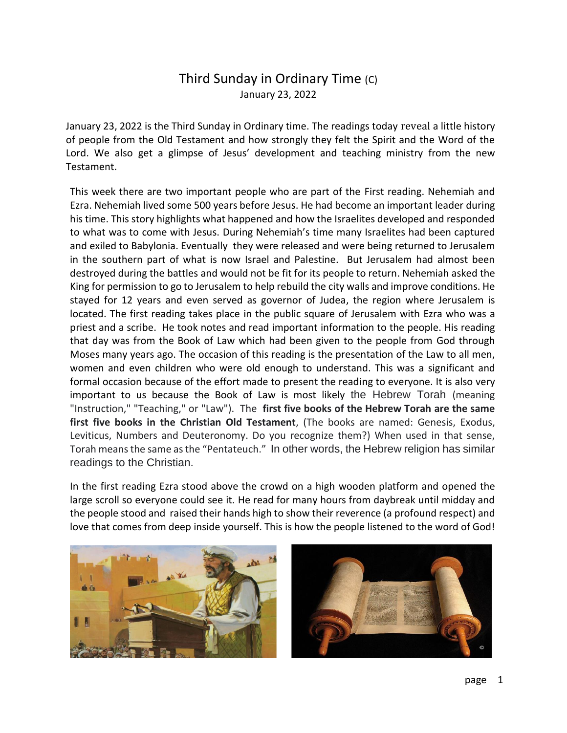January 23, 2022 is the Third Sunday in Ordinary time. The readings today reveal a little history of people from the Old Testament and how strongly they felt the Spirit and the Word of the Lord. We also get a glimpse of Jesus' development and teaching ministry from the new Testament.

This week there are two important people who are part of the First reading. Nehemiah and Ezra. Nehemiah lived some 500 years before Jesus. He had become an important leader during his time. This story highlights what happened and how the Israelites developed and responded to what was to come with Jesus. During Nehemiah's time many Israelites had been captured and exiled to Babylonia. Eventually they were released and were being returned to Jerusalem in the southern part of what is now Israel and Palestine. But Jerusalem had almost been destroyed during the battles and would not be fit for its people to return. Nehemiah asked the King for permission to go to Jerusalem to help rebuild the city walls and improve conditions. He stayed for 12 years and even served as governor of Judea, the region where Jerusalem is located. The first reading takes place in the public square of Jerusalem with Ezra who was a priest and a scribe. He took notes and read important information to the people. His reading that day was from the Book of Law which had been given to the people from God through Moses many years ago. The occasion of this reading is the presentation of the Law to all men, women and even children who were old enough to understand. This was a significant and formal occasion because of the effort made to present the reading to everyone. It is also very important to us because the Book of Law is most likely the Hebrew Torah (meaning "Instruction," "Teaching," or "Law"). The **first five books of the Hebrew Torah are the same first five books in the Christian Old Testament**, (The books are named: Genesis, Exodus, Leviticus, Numbers and Deuteronomy. Do you recognize them?) When used in that sense, Torah means the same as the "Pentateuch." In other words, the Hebrew religion has similar readings to the Christian.

In the first reading Ezra stood above the crowd on a high wooden platform and opened the large scroll so everyone could see it. He read for many hours from daybreak until midday and the people stood and raised their hands high to show their reverence (a profound respect) and love that comes from deep inside yourself. This is how the people listened to the word of God!

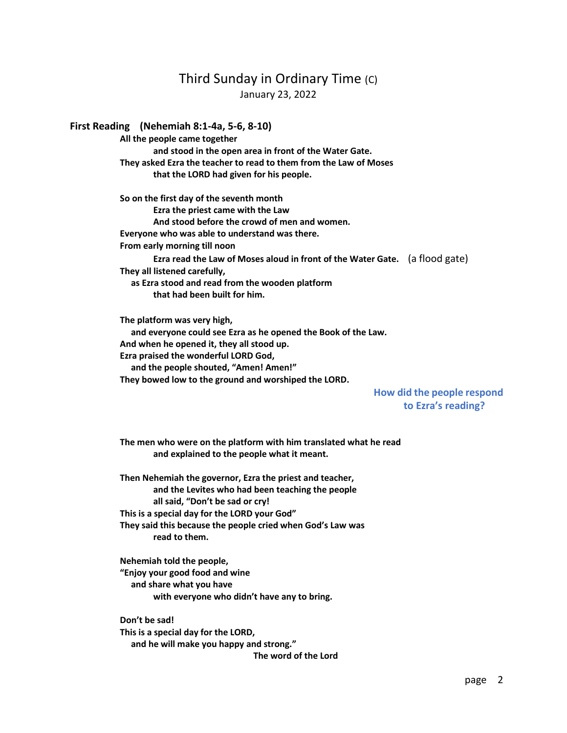#### **First Reading (Nehemiah 8:1-4a, 5-6, 8-10)**

**All the people came together and stood in the open area in front of the Water Gate. They asked Ezra the teacher to read to them from the Law of Moses that the LORD had given for his people.**

**So on the first day of the seventh month Ezra the priest came with the Law And stood before the crowd of men and women. Everyone who was able to understand was there. From early morning till noon Ezra read the Law of Moses aloud in front of the Water Gate.** (a flood gate) **They all listened carefully, as Ezra stood and read from the wooden platform that had been built for him.**

**The platform was very high, and everyone could see Ezra as he opened the Book of the Law. And when he opened it, they all stood up. Ezra praised the wonderful LORD God, and the people shouted, "Amen! Amen!" They bowed low to the ground and worshiped the LORD.**

 **How did the people respond to Ezra's reading?**

**The men who were on the platform with him translated what he read and explained to the people what it meant.**

**Then Nehemiah the governor, Ezra the priest and teacher, and the Levites who had been teaching the people all said, "Don't be sad or cry! This is a special day for the LORD your God" They said this because the people cried when God's Law was read to them.**

**Nehemiah told the people, "Enjoy your good food and wine and share what you have with everyone who didn't have any to bring.**

**Don't be sad! This is a special day for the LORD, and he will make you happy and strong." The word of the Lord**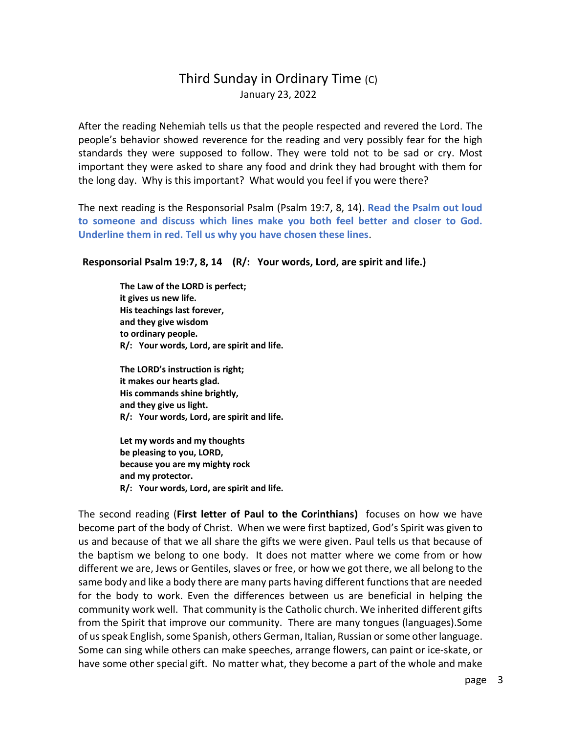After the reading Nehemiah tells us that the people respected and revered the Lord. The people's behavior showed reverence for the reading and very possibly fear for the high standards they were supposed to follow. They were told not to be sad or cry. Most important they were asked to share any food and drink they had brought with them for the long day. Why is this important? What would you feel if you were there?

The next reading is the Responsorial Psalm (Psalm 19:7, 8, 14). **Read the Psalm out loud to someone and discuss which lines make you both feel better and closer to God. Underline them in red. Tell us why you have chosen these lines**.

### **Responsorial Psalm 19:7, 8, 14 (R/: Your words, Lord, are spirit and life.)**

**The Law of the LORD is perfect; it gives us new life. His teachings last forever, and they give wisdom to ordinary people. R/: Your words, Lord, are spirit and life.**

**The LORD's instruction is right; it makes our hearts glad. His commands shine brightly, and they give us light. R/: Your words, Lord, are spirit and life.**

**Let my words and my thoughts be pleasing to you, LORD, because you are my mighty rock and my protector. R/: Your words, Lord, are spirit and life.**

The second reading (**First letter of Paul to the Corinthians)** focuses on how we have become part of the body of Christ. When we were first baptized, God's Spirit was given to us and because of that we all share the gifts we were given. Paul tells us that because of the baptism we belong to one body. It does not matter where we come from or how different we are, Jews or Gentiles, slaves or free, or how we got there, we all belong to the same body and like a body there are many parts having different functions that are needed for the body to work. Even the differences between us are beneficial in helping the community work well. That community is the Catholic church. We inherited different gifts from the Spirit that improve our community. There are many tongues (languages).Some of us speak English, some Spanish, others German, Italian, Russian or some other language. Some can sing while others can make speeches, arrange flowers, can paint or ice-skate, or have some other special gift. No matter what, they become a part of the whole and make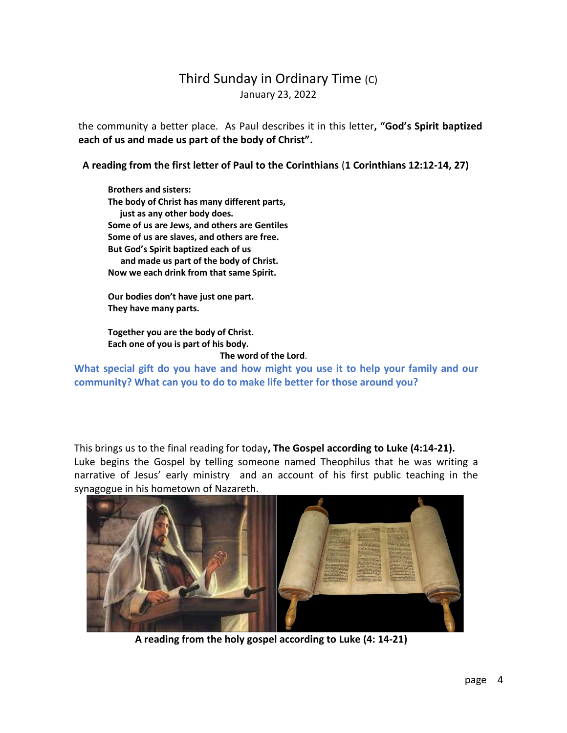the community a better place. As Paul describes it in this letter**, "God's Spirit baptized each of us and made us part of the body of Christ".**

**A reading from the first letter of Paul to the Corinthians** (**1 Corinthians 12:12-14, 27)**

**Brothers and sisters: The body of Christ has many different parts, just as any other body does. Some of us are Jews, and others are Gentiles Some of us are slaves, and others are free. But God's Spirit baptized each of us and made us part of the body of Christ. Now we each drink from that same Spirit.**

**Our bodies don't have just one part. They have many parts.** 

**Together you are the body of Christ. Each one of you is part of his body.**

### **The word of the Lord**.

**What special gift do you have and how might you use it to help your family and our community? What can you to do to make life better for those around you?**

This brings us to the final reading for today**, The Gospel according to Luke (4:14-21).** Luke begins the Gospel by telling someone named Theophilus that he was writing a narrative of Jesus' early ministry and an account of his first public teaching in the synagogue in his hometown of Nazareth.



 **A reading from the holy gospel according to Luke (4: 14-21)**